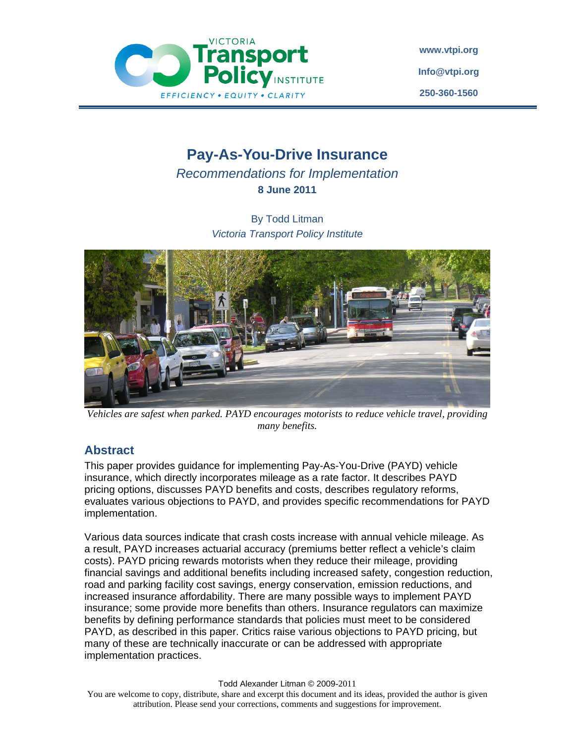

**www.vtpi.org Info@vtpi.org 250-360-1560**

# **Pay-As-You-Drive Insurance**

*Recommendations for Implementation*  **8 June 2011** 

> By Todd Litman *Victoria Transport Policy Institute*



*Vehicles are safest when parked. PAYD encourages motorists to reduce vehicle travel, providing many benefits.* 

# **Abstract**

This paper provides guidance for implementing Pay-As-You-Drive (PAYD) vehicle insurance, which directly incorporates mileage as a rate factor. It describes PAYD pricing options, discusses PAYD benefits and costs, describes regulatory reforms, evaluates various objections to PAYD, and provides specific recommendations for PAYD implementation.

Various data sources indicate that crash costs increase with annual vehicle mileage. As a result, PAYD increases actuarial accuracy (premiums better reflect a vehicle's claim costs). PAYD pricing rewards motorists when they reduce their mileage, providing financial savings and additional benefits including increased safety, congestion reduction, road and parking facility cost savings, energy conservation, emission reductions, and increased insurance affordability. There are many possible ways to implement PAYD insurance; some provide more benefits than others. Insurance regulators can maximize benefits by defining performance standards that policies must meet to be considered PAYD, as described in this paper. Critics raise various objections to PAYD pricing, but many of these are technically inaccurate or can be addressed with appropriate implementation practices.

#### Todd Alexander Litman © 2009-2011

You are welcome to copy, distribute, share and excerpt this document and its ideas, provided the author is given attribution. Please send your corrections, comments and suggestions for improvement.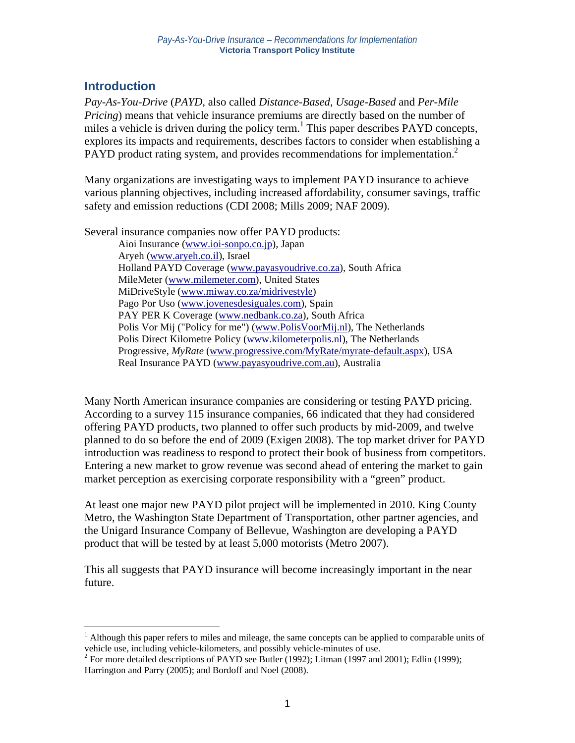# **Introduction**

 $\overline{a}$ 

*Pay-As-You-Drive* (*PAYD*, also called *Distance-Based*, *Usage-Based* and *Per-Mile Pricing*) means that vehicle insurance premiums are directly based on the number of miles a vehicle is driven during the policy term.<sup>1</sup> This paper describes PAYD concepts, explores its impacts and requirements, describes factors to consider when establishing a PAYD product rating system, and provides recommendations for implementation.<sup>2</sup>

Many organizations are investigating ways to implement PAYD insurance to achieve various planning objectives, including increased affordability, consumer savings, traffic safety and emission reductions (CDI 2008; Mills 2009; NAF 2009).

Several insurance companies now offer PAYD products:

Aioi Insurance (www.ioi-sonpo.co.jp), Japan Aryeh (www.aryeh.co.il), Israel Holland PAYD Coverage (www.payasyoudrive.co.za), South Africa MileMeter (www.milemeter.com), United States MiDriveStyle (www.miway.co.za/midrivestyle) Pago Por Uso (www.jovenesdesiguales.com), Spain PAY PER K Coverage (www.nedbank.co.za), South Africa Polis Vor Mij ("Policy for me") (www.PolisVoorMij.nl), The Netherlands Polis Direct Kilometre Policy (www.kilometerpolis.nl), The Netherlands Progressive, *MyRate* (www.progressive.com/MyRate/myrate-default.aspx), USA Real Insurance PAYD (www.payasyoudrive.com.au), Australia

Many North American insurance companies are considering or testing PAYD pricing. According to a survey 115 insurance companies, 66 indicated that they had considered offering PAYD products, two planned to offer such products by mid-2009, and twelve planned to do so before the end of 2009 (Exigen 2008). The top market driver for PAYD introduction was readiness to respond to protect their book of business from competitors. Entering a new market to grow revenue was second ahead of entering the market to gain market perception as exercising corporate responsibility with a "green" product.

At least one major new PAYD pilot project will be implemented in 2010. King County Metro, the Washington State Department of Transportation, other partner agencies, and the Unigard Insurance Company of Bellevue, Washington are developing a PAYD product that will be tested by at least 5,000 motorists (Metro 2007).

This all suggests that PAYD insurance will become increasingly important in the near future.

<sup>&</sup>lt;sup>1</sup> Although this paper refers to miles and mileage, the same concepts can be applied to comparable units of vehicle use, including vehicle-kilometers, and possibly vehicle-minutes of use.

<sup>&</sup>lt;sup>2</sup> For more detailed descriptions of PAYD see Butler (1992); Litman (1997 and 2001); Edlin (1999); Harrington and Parry (2005); and Bordoff and Noel (2008).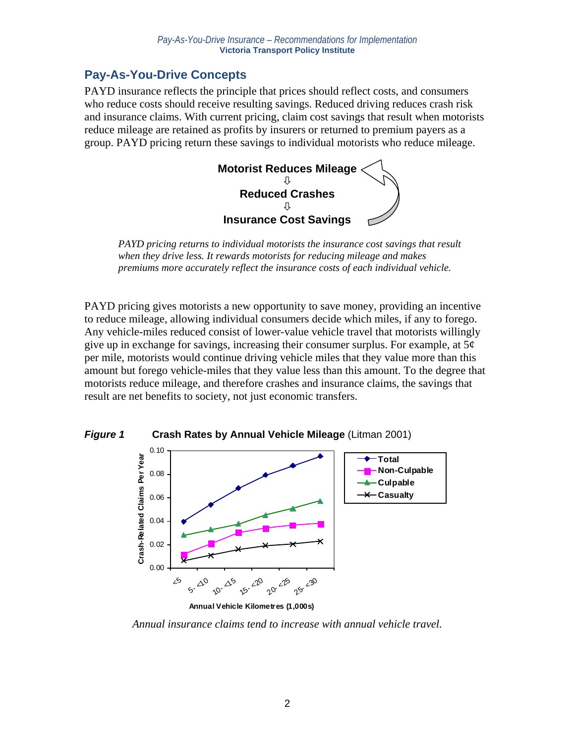# **Pay-As-You-Drive Concepts**

PAYD insurance reflects the principle that prices should reflect costs, and consumers who reduce costs should receive resulting savings. Reduced driving reduces crash risk and insurance claims. With current pricing, claim cost savings that result when motorists reduce mileage are retained as profits by insurers or returned to premium payers as a group. PAYD pricing return these savings to individual motorists who reduce mileage.



*PAYD pricing returns to individual motorists the insurance cost savings that result when they drive less. It rewards motorists for reducing mileage and makes premiums more accurately reflect the insurance costs of each individual vehicle.* 

PAYD pricing gives motorists a new opportunity to save money, providing an incentive to reduce mileage, allowing individual consumers decide which miles, if any to forego. Any vehicle-miles reduced consist of lower-value vehicle travel that motorists willingly give up in exchange for savings, increasing their consumer surplus. For example, at  $5¢$ per mile, motorists would continue driving vehicle miles that they value more than this amount but forego vehicle-miles that they value less than this amount. To the degree that motorists reduce mileage, and therefore crashes and insurance claims, the savings that result are net benefits to society, not just economic transfers.



*Annual insurance claims tend to increase with annual vehicle travel.*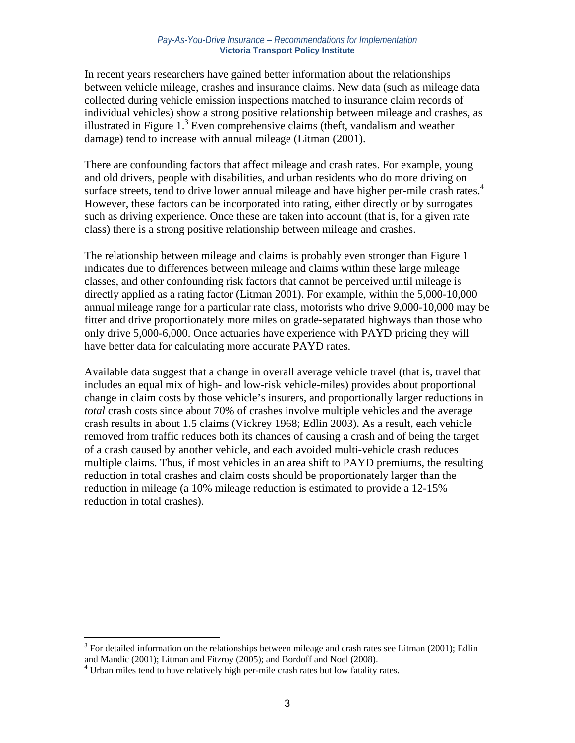In recent years researchers have gained better information about the relationships between vehicle mileage, crashes and insurance claims. New data (such as mileage data collected during vehicle emission inspections matched to insurance claim records of individual vehicles) show a strong positive relationship between mileage and crashes, as illustrated in Figure  $1<sup>3</sup>$  Even comprehensive claims (theft, vandalism and weather damage) tend to increase with annual mileage (Litman (2001).

There are confounding factors that affect mileage and crash rates. For example, young and old drivers, people with disabilities, and urban residents who do more driving on surface streets, tend to drive lower annual mileage and have higher per-mile crash rates.<sup>4</sup> However, these factors can be incorporated into rating, either directly or by surrogates such as driving experience. Once these are taken into account (that is, for a given rate class) there is a strong positive relationship between mileage and crashes.

The relationship between mileage and claims is probably even stronger than Figure 1 indicates due to differences between mileage and claims within these large mileage classes, and other confounding risk factors that cannot be perceived until mileage is directly applied as a rating factor (Litman 2001). For example, within the 5,000-10,000 annual mileage range for a particular rate class, motorists who drive 9,000-10,000 may be fitter and drive proportionately more miles on grade-separated highways than those who only drive 5,000-6,000. Once actuaries have experience with PAYD pricing they will have better data for calculating more accurate PAYD rates.

Available data suggest that a change in overall average vehicle travel (that is, travel that includes an equal mix of high- and low-risk vehicle-miles) provides about proportional change in claim costs by those vehicle's insurers, and proportionally larger reductions in *total* crash costs since about 70% of crashes involve multiple vehicles and the average crash results in about 1.5 claims (Vickrey 1968; Edlin 2003). As a result, each vehicle removed from traffic reduces both its chances of causing a crash and of being the target of a crash caused by another vehicle, and each avoided multi-vehicle crash reduces multiple claims. Thus, if most vehicles in an area shift to PAYD premiums, the resulting reduction in total crashes and claim costs should be proportionately larger than the reduction in mileage (a 10% mileage reduction is estimated to provide a 12-15% reduction in total crashes).

 $\overline{a}$ 

 $3$  For detailed information on the relationships between mileage and crash rates see Litman (2001); Edlin and Mandic (2001); Litman and Fitzroy (2005); and Bordoff and Noel (2008).

<sup>&</sup>lt;sup>4</sup> Urban miles tend to have relatively high per-mile crash rates but low fatality rates.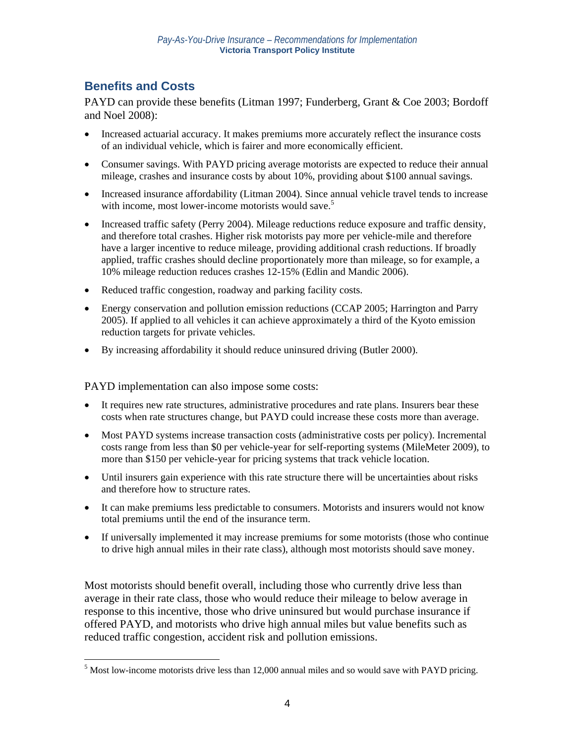# **Benefits and Costs**

<u>.</u>

PAYD can provide these benefits (Litman 1997; Funderberg, Grant & Coe 2003; Bordoff and Noel 2008):

- Increased actuarial accuracy. It makes premiums more accurately reflect the insurance costs of an individual vehicle, which is fairer and more economically efficient.
- Consumer savings. With PAYD pricing average motorists are expected to reduce their annual mileage, crashes and insurance costs by about 10%, providing about \$100 annual savings.
- Increased insurance affordability (Litman 2004). Since annual vehicle travel tends to increase with income, most lower-income motorists would save.<sup>5</sup>
- Increased traffic safety (Perry 2004). Mileage reductions reduce exposure and traffic density, and therefore total crashes. Higher risk motorists pay more per vehicle-mile and therefore have a larger incentive to reduce mileage, providing additional crash reductions. If broadly applied, traffic crashes should decline proportionately more than mileage, so for example, a 10% mileage reduction reduces crashes 12-15% (Edlin and Mandic 2006).
- Reduced traffic congestion, roadway and parking facility costs.
- Energy conservation and pollution emission reductions (CCAP 2005; Harrington and Parry 2005). If applied to all vehicles it can achieve approximately a third of the Kyoto emission reduction targets for private vehicles.
- By increasing affordability it should reduce uninsured driving (Butler 2000).

PAYD implementation can also impose some costs:

- It requires new rate structures, administrative procedures and rate plans. Insurers bear these costs when rate structures change, but PAYD could increase these costs more than average.
- Most PAYD systems increase transaction costs (administrative costs per policy). Incremental costs range from less than \$0 per vehicle-year for self-reporting systems (MileMeter 2009), to more than \$150 per vehicle-year for pricing systems that track vehicle location.
- Until insurers gain experience with this rate structure there will be uncertainties about risks and therefore how to structure rates.
- It can make premiums less predictable to consumers. Motorists and insurers would not know total premiums until the end of the insurance term.
- If universally implemented it may increase premiums for some motorists (those who continue to drive high annual miles in their rate class), although most motorists should save money.

Most motorists should benefit overall, including those who currently drive less than average in their rate class, those who would reduce their mileage to below average in response to this incentive, those who drive uninsured but would purchase insurance if offered PAYD, and motorists who drive high annual miles but value benefits such as reduced traffic congestion, accident risk and pollution emissions.

 $<sup>5</sup>$  Most low-income motorists drive less than 12,000 annual miles and so would save with PAYD pricing.</sup>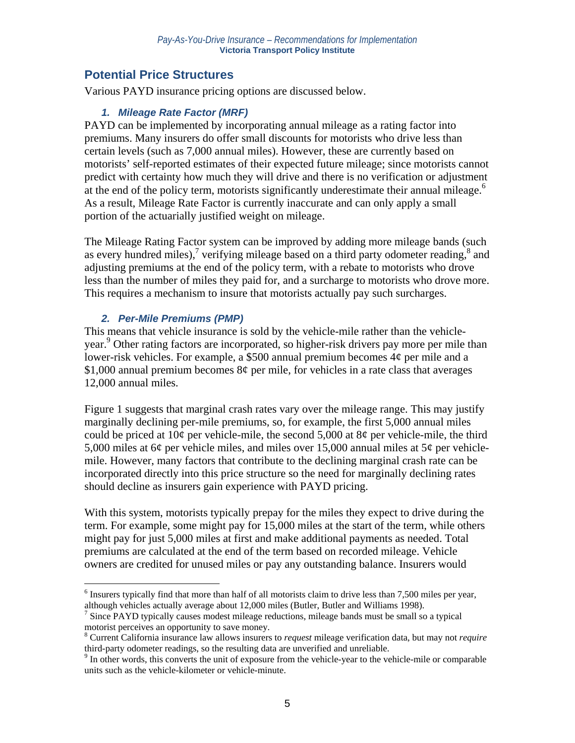# **Potential Price Structures**

Various PAYD insurance pricing options are discussed below.

## *1. Mileage Rate Factor (MRF)*

PAYD can be implemented by incorporating annual mileage as a rating factor into premiums. Many insurers do offer small discounts for motorists who drive less than certain levels (such as 7,000 annual miles). However, these are currently based on motorists' self-reported estimates of their expected future mileage; since motorists cannot predict with certainty how much they will drive and there is no verification or adjustment at the end of the policy term, motorists significantly underestimate their annual mileage.<sup>6</sup> As a result, Mileage Rate Factor is currently inaccurate and can only apply a small portion of the actuarially justified weight on mileage.

The Mileage Rating Factor system can be improved by adding more mileage bands (such as every hundred miles),<sup>7</sup> verifying mileage based on a third party odometer reading,<sup>8</sup> and adjusting premiums at the end of the policy term, with a rebate to motorists who drove less than the number of miles they paid for, and a surcharge to motorists who drove more. This requires a mechanism to insure that motorists actually pay such surcharges.

# *2. Per-Mile Premiums (PMP)*

1

This means that vehicle insurance is sold by the vehicle-mile rather than the vehicleyear.<sup>9</sup> Other rating factors are incorporated, so higher-risk drivers pay more per mile than lower-risk vehicles. For example, a \$500 annual premium becomes 4¢ per mile and a \$1,000 annual premium becomes  $8¢$  per mile, for vehicles in a rate class that averages 12,000 annual miles.

Figure 1 suggests that marginal crash rates vary over the mileage range. This may justify marginally declining per-mile premiums, so, for example, the first 5,000 annual miles could be priced at  $10¢$  per vehicle-mile, the second 5,000 at  $8¢$  per vehicle-mile, the third 5,000 miles at 6¢ per vehicle miles, and miles over 15,000 annual miles at 5¢ per vehiclemile. However, many factors that contribute to the declining marginal crash rate can be incorporated directly into this price structure so the need for marginally declining rates should decline as insurers gain experience with PAYD pricing.

With this system, motorists typically prepay for the miles they expect to drive during the term. For example, some might pay for 15,000 miles at the start of the term, while others might pay for just 5,000 miles at first and make additional payments as needed. Total premiums are calculated at the end of the term based on recorded mileage. Vehicle owners are credited for unused miles or pay any outstanding balance. Insurers would

<sup>&</sup>lt;sup>6</sup> Insurers typically find that more than half of all motorists claim to drive less than 7,500 miles per year, although vehicles actually average about 12,000 miles (Butler, Butler and Williams 1998). 7

 $\frac{1}{2}$  Since PAYD typically causes modest mileage reductions, mileage bands must be small so a typical motorist perceives an opportunity to save money.

<sup>8</sup> Current California insurance law allows insurers to *request* mileage verification data, but may not *require* third-party odometer readings, so the resulting data are unverified and unreliable. 9

<sup>&</sup>lt;sup>9</sup> In other words, this converts the unit of exposure from the vehicle-year to the vehicle-mile or comparable units such as the vehicle-kilometer or vehicle-minute.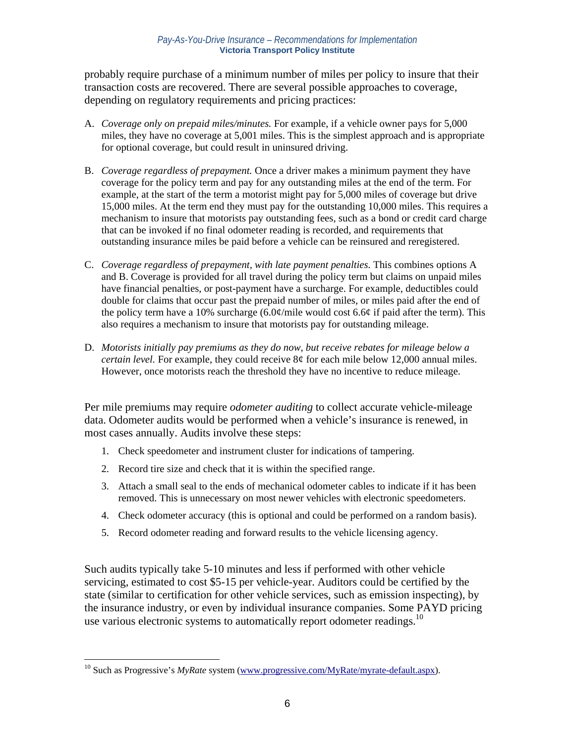probably require purchase of a minimum number of miles per policy to insure that their transaction costs are recovered. There are several possible approaches to coverage, depending on regulatory requirements and pricing practices:

- A. *Coverage only on prepaid miles/minutes.* For example, if a vehicle owner pays for 5,000 miles, they have no coverage at 5,001 miles. This is the simplest approach and is appropriate for optional coverage, but could result in uninsured driving.
- B. *Coverage regardless of prepayment.* Once a driver makes a minimum payment they have coverage for the policy term and pay for any outstanding miles at the end of the term. For example, at the start of the term a motorist might pay for 5,000 miles of coverage but drive 15,000 miles. At the term end they must pay for the outstanding 10,000 miles. This requires a mechanism to insure that motorists pay outstanding fees, such as a bond or credit card charge that can be invoked if no final odometer reading is recorded, and requirements that outstanding insurance miles be paid before a vehicle can be reinsured and reregistered.
- C. *Coverage regardless of prepayment, with late payment penalties.* This combines options A and B. Coverage is provided for all travel during the policy term but claims on unpaid miles have financial penalties, or post-payment have a surcharge. For example, deductibles could double for claims that occur past the prepaid number of miles, or miles paid after the end of the policy term have a 10% surcharge  $(6.0¢/mile$  would cost 6.6 $¢$  if paid after the term). This also requires a mechanism to insure that motorists pay for outstanding mileage.
- D. *Motorists initially pay premiums as they do now, but receive rebates for mileage below a certain level.* For example, they could receive 8¢ for each mile below 12,000 annual miles. However, once motorists reach the threshold they have no incentive to reduce mileage.

Per mile premiums may require *odometer auditing* to collect accurate vehicle-mileage data. Odometer audits would be performed when a vehicle's insurance is renewed, in most cases annually. Audits involve these steps:

- 1. Check speedometer and instrument cluster for indications of tampering.
- 2. Record tire size and check that it is within the specified range.
- 3. Attach a small seal to the ends of mechanical odometer cables to indicate if it has been removed. This is unnecessary on most newer vehicles with electronic speedometers.
- 4. Check odometer accuracy (this is optional and could be performed on a random basis).
- 5. Record odometer reading and forward results to the vehicle licensing agency.

Such audits typically take 5-10 minutes and less if performed with other vehicle servicing, estimated to cost \$5-15 per vehicle-year. Auditors could be certified by the state (similar to certification for other vehicle services, such as emission inspecting), by the insurance industry, or even by individual insurance companies. Some PAYD pricing use various electronic systems to automatically report odometer readings.<sup>10</sup>

 $\overline{a}$ 

<sup>&</sup>lt;sup>10</sup> Such as Progressive's *MyRate* system (www.progressive.com/MyRate/myrate-default.aspx).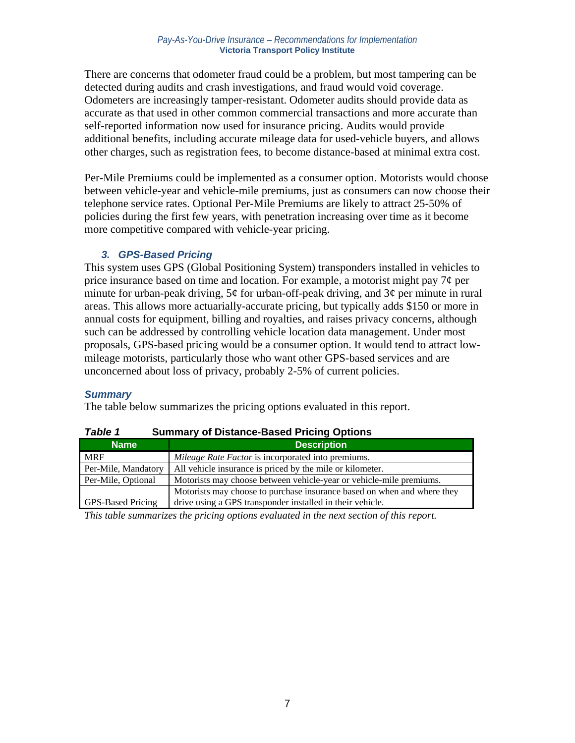There are concerns that odometer fraud could be a problem, but most tampering can be detected during audits and crash investigations, and fraud would void coverage. Odometers are increasingly tamper-resistant. Odometer audits should provide data as accurate as that used in other common commercial transactions and more accurate than self-reported information now used for insurance pricing. Audits would provide additional benefits, including accurate mileage data for used-vehicle buyers, and allows other charges, such as registration fees, to become distance-based at minimal extra cost.

Per-Mile Premiums could be implemented as a consumer option. Motorists would choose between vehicle-year and vehicle-mile premiums, just as consumers can now choose their telephone service rates. Optional Per-Mile Premiums are likely to attract 25-50% of policies during the first few years, with penetration increasing over time as it become more competitive compared with vehicle-year pricing.

# *3. GPS-Based Pricing*

This system uses GPS (Global Positioning System) transponders installed in vehicles to price insurance based on time and location. For example, a motorist might pay  $7¢$  per minute for urban-peak driving,  $5¢$  for urban-off-peak driving, and  $3¢$  per minute in rural areas. This allows more actuarially-accurate pricing, but typically adds \$150 or more in annual costs for equipment, billing and royalties, and raises privacy concerns, although such can be addressed by controlling vehicle location data management. Under most proposals, GPS-based pricing would be a consumer option. It would tend to attract lowmileage motorists, particularly those who want other GPS-based services and are unconcerned about loss of privacy, probably 2-5% of current policies.

# *Summary*

The table below summarizes the pricing options evaluated in this report.

| IUNIV I<br><b>Udilimary of Distance Dascall Hong Options</b> |                                                                         |  |
|--------------------------------------------------------------|-------------------------------------------------------------------------|--|
| <b>Name</b>                                                  | <b>Description</b>                                                      |  |
| <b>MRF</b>                                                   | Mileage Rate Factor is incorporated into premiums.                      |  |
| Per-Mile, Mandatory                                          | All vehicle insurance is priced by the mile or kilometer.               |  |
| Per-Mile, Optional                                           | Motorists may choose between vehicle-year or vehicle-mile premiums.     |  |
|                                                              | Motorists may choose to purchase insurance based on when and where they |  |
| <b>GPS-Based Pricing</b>                                     | drive using a GPS transponder installed in their vehicle.               |  |

*Table 1* **Summary of Distance-Based Pricing Options** 

*This table summarizes the pricing options evaluated in the next section of this report.*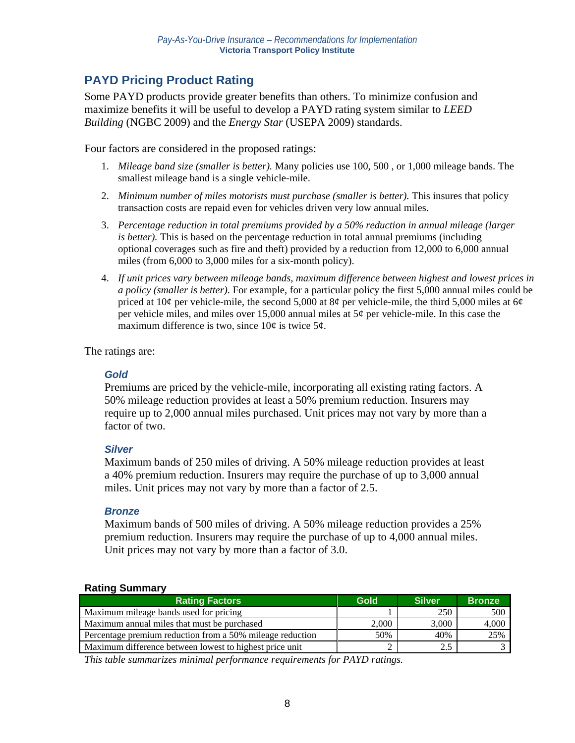# **PAYD Pricing Product Rating**

Some PAYD products provide greater benefits than others. To minimize confusion and maximize benefits it will be useful to develop a PAYD rating system similar to *LEED Building* (NGBC 2009) and the *Energy Star* (USEPA 2009) standards.

Four factors are considered in the proposed ratings:

- 1. *Mileage band size (smaller is better).* Many policies use 100, 500 , or 1,000 mileage bands. The smallest mileage band is a single vehicle-mile.
- 2. *Minimum number of miles motorists must purchase (smaller is better).* This insures that policy transaction costs are repaid even for vehicles driven very low annual miles.
- 3. *Percentage reduction in total premiums provided by a 50% reduction in annual mileage (larger is better).* This is based on the percentage reduction in total annual premiums (including optional coverages such as fire and theft) provided by a reduction from 12,000 to 6,000 annual miles (from 6,000 to 3,000 miles for a six-month policy).
- 4. *If unit prices vary between mileage bands, maximum difference between highest and lowest prices in a policy (smaller is better)*. For example, for a particular policy the first 5,000 annual miles could be priced at  $10¢$  per vehicle-mile, the second 5,000 at 8¢ per vehicle-mile, the third 5,000 miles at 6¢ per vehicle miles, and miles over 15,000 annual miles at  $5¢$  per vehicle-mile. In this case the maximum difference is two, since  $10¢$  is twice  $5¢$ .

The ratings are:

# *Gold*

Premiums are priced by the vehicle-mile, incorporating all existing rating factors. A 50% mileage reduction provides at least a 50% premium reduction. Insurers may require up to 2,000 annual miles purchased. Unit prices may not vary by more than a factor of two.

### *Silver*

Maximum bands of 250 miles of driving. A 50% mileage reduction provides at least a 40% premium reduction. Insurers may require the purchase of up to 3,000 annual miles. Unit prices may not vary by more than a factor of 2.5.

### *Bronze*

Maximum bands of 500 miles of driving. A 50% mileage reduction provides a 25% premium reduction. Insurers may require the purchase of up to 4,000 annual miles. Unit prices may not vary by more than a factor of 3.0.

### **Rating Summary**

| <b>Rating Factors</b>                                     | Gold  | <b>Silver</b> | <b>Bronze</b> |
|-----------------------------------------------------------|-------|---------------|---------------|
| Maximum mileage bands used for pricing                    |       | 250           | 500           |
| Maximum annual miles that must be purchased               | 2.000 | 3.000         | 4,000         |
| Percentage premium reduction from a 50% mileage reduction | 50%   | 40%           | 25%           |
| Maximum difference between lowest to highest price unit   |       | 2.5           |               |

*This table summarizes minimal performance requirements for PAYD ratings.*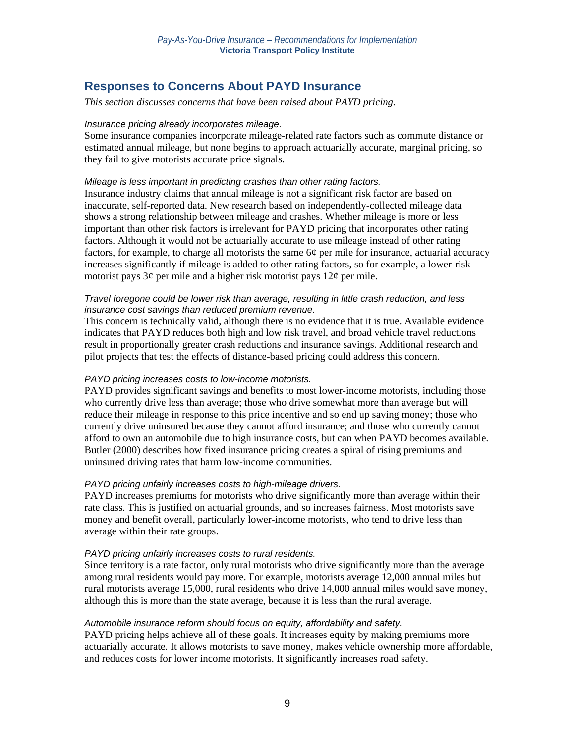# **Responses to Concerns About PAYD Insurance**

#### *This section discusses concerns that have been raised about PAYD pricing.*

#### *Insurance pricing already incorporates mileage.*

Some insurance companies incorporate mileage-related rate factors such as commute distance or estimated annual mileage, but none begins to approach actuarially accurate, marginal pricing, so they fail to give motorists accurate price signals.

#### *Mileage is less important in predicting crashes than other rating factors.*

Insurance industry claims that annual mileage is not a significant risk factor are based on inaccurate, self-reported data. New research based on independently-collected mileage data shows a strong relationship between mileage and crashes. Whether mileage is more or less important than other risk factors is irrelevant for PAYD pricing that incorporates other rating factors. Although it would not be actuarially accurate to use mileage instead of other rating factors, for example, to charge all motorists the same 6¢ per mile for insurance, actuarial accuracy increases significantly if mileage is added to other rating factors, so for example, a lower-risk motorist pays  $3\psi$  per mile and a higher risk motorist pays  $12\psi$  per mile.

### *Travel foregone could be lower risk than average, resulting in little crash reduction, and less insurance cost savings than reduced premium revenue.*

This concern is technically valid, although there is no evidence that it is true. Available evidence indicates that PAYD reduces both high and low risk travel, and broad vehicle travel reductions result in proportionally greater crash reductions and insurance savings. Additional research and pilot projects that test the effects of distance-based pricing could address this concern.

### *PAYD pricing increases costs to low-income motorists.*

PAYD provides significant savings and benefits to most lower-income motorists, including those who currently drive less than average; those who drive somewhat more than average but will reduce their mileage in response to this price incentive and so end up saving money; those who currently drive uninsured because they cannot afford insurance; and those who currently cannot afford to own an automobile due to high insurance costs, but can when PAYD becomes available. Butler (2000) describes how fixed insurance pricing creates a spiral of rising premiums and uninsured driving rates that harm low-income communities.

### *PAYD pricing unfairly increases costs to high-mileage drivers.*

PAYD increases premiums for motorists who drive significantly more than average within their rate class. This is justified on actuarial grounds, and so increases fairness. Most motorists save money and benefit overall, particularly lower-income motorists, who tend to drive less than average within their rate groups.

#### *PAYD pricing unfairly increases costs to rural residents.*

Since territory is a rate factor, only rural motorists who drive significantly more than the average among rural residents would pay more. For example, motorists average 12,000 annual miles but rural motorists average 15,000, rural residents who drive 14,000 annual miles would save money, although this is more than the state average, because it is less than the rural average.

### *Automobile insurance reform should focus on equity, affordability and safety.*

PAYD pricing helps achieve all of these goals. It increases equity by making premiums more actuarially accurate. It allows motorists to save money, makes vehicle ownership more affordable, and reduces costs for lower income motorists. It significantly increases road safety.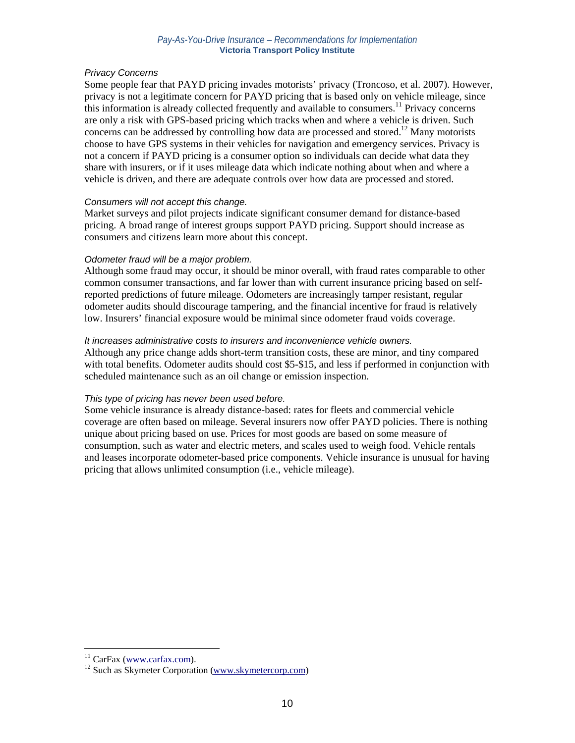### *Privacy Concerns*

Some people fear that PAYD pricing invades motorists' privacy (Troncoso, et al. 2007). However, privacy is not a legitimate concern for PAYD pricing that is based only on vehicle mileage, since this information is already collected frequently and available to consumers.<sup>11</sup> Privacy concerns are only a risk with GPS-based pricing which tracks when and where a vehicle is driven. Such concerns can be addressed by controlling how data are processed and stored.<sup>12</sup> Many motorists choose to have GPS systems in their vehicles for navigation and emergency services. Privacy is not a concern if PAYD pricing is a consumer option so individuals can decide what data they share with insurers, or if it uses mileage data which indicate nothing about when and where a vehicle is driven, and there are adequate controls over how data are processed and stored.

### *Consumers will not accept this change.*

Market surveys and pilot projects indicate significant consumer demand for distance-based pricing. A broad range of interest groups support PAYD pricing. Support should increase as consumers and citizens learn more about this concept.

### *Odometer fraud will be a major problem.*

Although some fraud may occur, it should be minor overall, with fraud rates comparable to other common consumer transactions, and far lower than with current insurance pricing based on selfreported predictions of future mileage. Odometers are increasingly tamper resistant, regular odometer audits should discourage tampering, and the financial incentive for fraud is relatively low. Insurers' financial exposure would be minimal since odometer fraud voids coverage.

### *It increases administrative costs to insurers and inconvenience vehicle owners.*

Although any price change adds short-term transition costs, these are minor, and tiny compared with total benefits. Odometer audits should cost \$5-\$15, and less if performed in conjunction with scheduled maintenance such as an oil change or emission inspection.

### *This type of pricing has never been used before.*

Some vehicle insurance is already distance-based: rates for fleets and commercial vehicle coverage are often based on mileage. Several insurers now offer PAYD policies. There is nothing unique about pricing based on use. Prices for most goods are based on some measure of consumption, such as water and electric meters, and scales used to weigh food. Vehicle rentals and leases incorporate odometer-based price components. Vehicle insurance is unusual for having pricing that allows unlimited consumption (i.e., vehicle mileage).

 $\overline{a}$ 

<sup>&</sup>lt;sup>11</sup> CarFax (www.carfax.com).<br><sup>12</sup> Such as Skymeter Corporation (www.skymetercorp.com)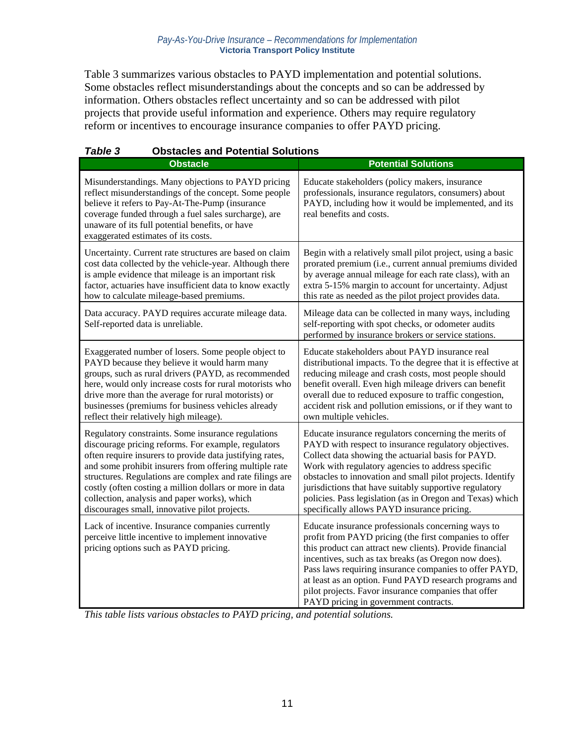Table 3 summarizes various obstacles to PAYD implementation and potential solutions. Some obstacles reflect misunderstandings about the concepts and so can be addressed by information. Others obstacles reflect uncertainty and so can be addressed with pilot projects that provide useful information and experience. Others may require regulatory reform or incentives to encourage insurance companies to offer PAYD pricing.

| i avie s<br>ODSIACIES ANU FOIENNAI SOIUIIONS                                                                                                                                                                                                                                                                                                                                                                                                            |                                                                                                                                                                                                                                                                                                                                                                                                                                                               |
|---------------------------------------------------------------------------------------------------------------------------------------------------------------------------------------------------------------------------------------------------------------------------------------------------------------------------------------------------------------------------------------------------------------------------------------------------------|---------------------------------------------------------------------------------------------------------------------------------------------------------------------------------------------------------------------------------------------------------------------------------------------------------------------------------------------------------------------------------------------------------------------------------------------------------------|
| <b>Obstacle</b>                                                                                                                                                                                                                                                                                                                                                                                                                                         | <b>Potential Solutions</b>                                                                                                                                                                                                                                                                                                                                                                                                                                    |
| Misunderstandings. Many objections to PAYD pricing<br>reflect misunderstandings of the concept. Some people<br>believe it refers to Pay-At-The-Pump (insurance<br>coverage funded through a fuel sales surcharge), are<br>unaware of its full potential benefits, or have<br>exaggerated estimates of its costs.                                                                                                                                        | Educate stakeholders (policy makers, insurance<br>professionals, insurance regulators, consumers) about<br>PAYD, including how it would be implemented, and its<br>real benefits and costs.                                                                                                                                                                                                                                                                   |
| Uncertainty. Current rate structures are based on claim<br>cost data collected by the vehicle-year. Although there<br>is ample evidence that mileage is an important risk<br>factor, actuaries have insufficient data to know exactly<br>how to calculate mileage-based premiums.                                                                                                                                                                       | Begin with a relatively small pilot project, using a basic<br>prorated premium (i.e., current annual premiums divided<br>by average annual mileage for each rate class), with an<br>extra 5-15% margin to account for uncertainty. Adjust<br>this rate as needed as the pilot project provides data.                                                                                                                                                          |
| Data accuracy. PAYD requires accurate mileage data.<br>Self-reported data is unreliable.                                                                                                                                                                                                                                                                                                                                                                | Mileage data can be collected in many ways, including<br>self-reporting with spot checks, or odometer audits<br>performed by insurance brokers or service stations.                                                                                                                                                                                                                                                                                           |
| Exaggerated number of losers. Some people object to<br>PAYD because they believe it would harm many<br>groups, such as rural drivers (PAYD, as recommended<br>here, would only increase costs for rural motorists who<br>drive more than the average for rural motorists) or<br>businesses (premiums for business vehicles already<br>reflect their relatively high mileage).                                                                           | Educate stakeholders about PAYD insurance real<br>distributional impacts. To the degree that it is effective at<br>reducing mileage and crash costs, most people should<br>benefit overall. Even high mileage drivers can benefit<br>overall due to reduced exposure to traffic congestion,<br>accident risk and pollution emissions, or if they want to<br>own multiple vehicles.                                                                            |
| Regulatory constraints. Some insurance regulations<br>discourage pricing reforms. For example, regulators<br>often require insurers to provide data justifying rates,<br>and some prohibit insurers from offering multiple rate<br>structures. Regulations are complex and rate filings are<br>costly (often costing a million dollars or more in data<br>collection, analysis and paper works), which<br>discourages small, innovative pilot projects. | Educate insurance regulators concerning the merits of<br>PAYD with respect to insurance regulatory objectives.<br>Collect data showing the actuarial basis for PAYD.<br>Work with regulatory agencies to address specific<br>obstacles to innovation and small pilot projects. Identify<br>jurisdictions that have suitably supportive regulatory<br>policies. Pass legislation (as in Oregon and Texas) which<br>specifically allows PAYD insurance pricing. |
| Lack of incentive. Insurance companies currently<br>perceive little incentive to implement innovative<br>pricing options such as PAYD pricing.                                                                                                                                                                                                                                                                                                          | Educate insurance professionals concerning ways to<br>profit from PAYD pricing (the first companies to offer<br>this product can attract new clients). Provide financial<br>incentives, such as tax breaks (as Oregon now does).<br>Pass laws requiring insurance companies to offer PAYD,<br>at least as an option. Fund PAYD research programs and<br>pilot projects. Favor insurance companies that offer<br>PAYD pricing in government contracts.         |

# *Table 3* **Obstacles and Potential Solutions**

*This table lists various obstacles to PAYD pricing, and potential solutions.*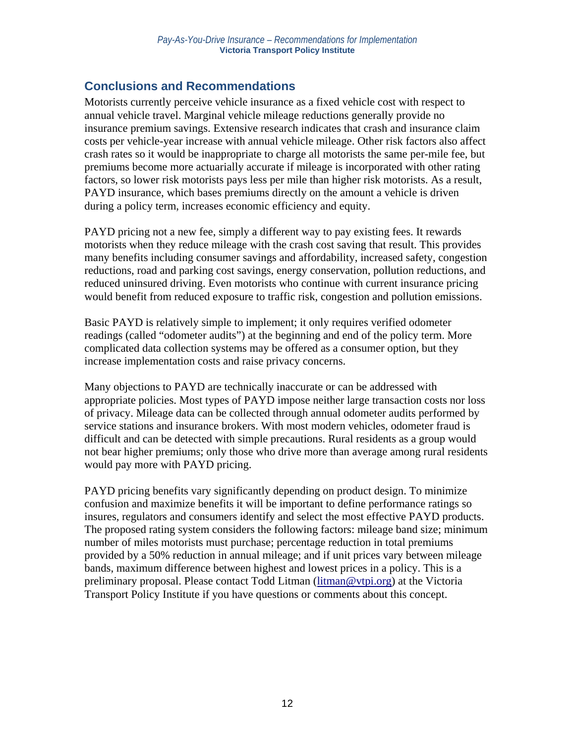# **Conclusions and Recommendations**

Motorists currently perceive vehicle insurance as a fixed vehicle cost with respect to annual vehicle travel. Marginal vehicle mileage reductions generally provide no insurance premium savings. Extensive research indicates that crash and insurance claim costs per vehicle-year increase with annual vehicle mileage. Other risk factors also affect crash rates so it would be inappropriate to charge all motorists the same per-mile fee, but premiums become more actuarially accurate if mileage is incorporated with other rating factors, so lower risk motorists pays less per mile than higher risk motorists. As a result, PAYD insurance, which bases premiums directly on the amount a vehicle is driven during a policy term, increases economic efficiency and equity.

PAYD pricing not a new fee, simply a different way to pay existing fees. It rewards motorists when they reduce mileage with the crash cost saving that result. This provides many benefits including consumer savings and affordability, increased safety, congestion reductions, road and parking cost savings, energy conservation, pollution reductions, and reduced uninsured driving. Even motorists who continue with current insurance pricing would benefit from reduced exposure to traffic risk, congestion and pollution emissions.

Basic PAYD is relatively simple to implement; it only requires verified odometer readings (called "odometer audits") at the beginning and end of the policy term. More complicated data collection systems may be offered as a consumer option, but they increase implementation costs and raise privacy concerns.

Many objections to PAYD are technically inaccurate or can be addressed with appropriate policies. Most types of PAYD impose neither large transaction costs nor loss of privacy. Mileage data can be collected through annual odometer audits performed by service stations and insurance brokers. With most modern vehicles, odometer fraud is difficult and can be detected with simple precautions. Rural residents as a group would not bear higher premiums; only those who drive more than average among rural residents would pay more with PAYD pricing.

PAYD pricing benefits vary significantly depending on product design. To minimize confusion and maximize benefits it will be important to define performance ratings so insures, regulators and consumers identify and select the most effective PAYD products. The proposed rating system considers the following factors: mileage band size; minimum number of miles motorists must purchase; percentage reduction in total premiums provided by a 50% reduction in annual mileage; and if unit prices vary between mileage bands, maximum difference between highest and lowest prices in a policy. This is a preliminary proposal. Please contact Todd Litman (litman@vtpi.org) at the Victoria Transport Policy Institute if you have questions or comments about this concept.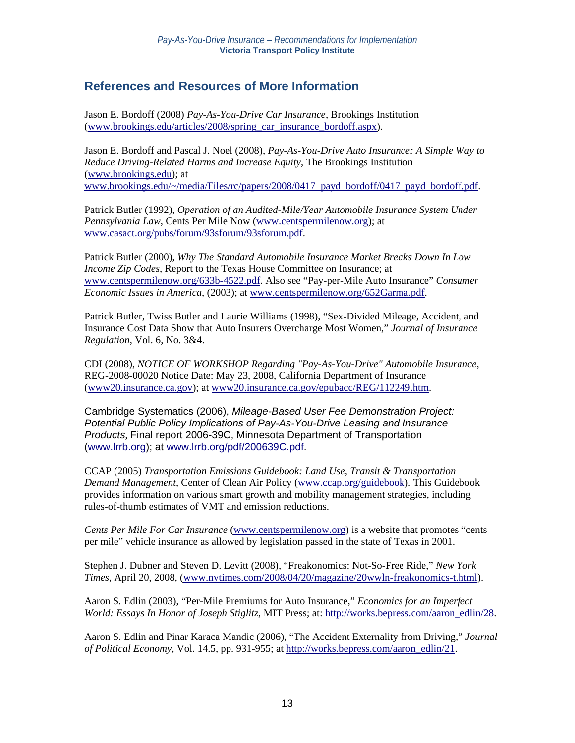# **References and Resources of More Information**

Jason E. Bordoff (2008) *Pay-As-You-Drive Car Insurance*, Brookings Institution (www.brookings.edu/articles/2008/spring\_car\_insurance\_bordoff.aspx).

Jason E. Bordoff and Pascal J. Noel (2008), *Pay-As-You-Drive Auto Insurance: A Simple Way to Reduce Driving-Related Harms and Increase Equity*, The Brookings Institution (www.brookings.edu); at www.brookings.edu/~/media/Files/rc/papers/2008/0417\_payd\_bordoff/0417\_payd\_bordoff.pdf.

Patrick Butler (1992), *Operation of an Audited-Mile/Year Automobile Insurance System Under Pennsylvania Law*, Cents Per Mile Now (www.centspermilenow.org); at www.casact.org/pubs/forum/93sforum/93sforum.pdf.

Patrick Butler (2000), *Why The Standard Automobile Insurance Market Breaks Down In Low Income Zip Codes*, Report to the Texas House Committee on Insurance; at www.centspermilenow.org/633b-4522.pdf. Also see "Pay-per-Mile Auto Insurance" *Consumer Economic Issues in America*, (2003); at www.centspermilenow.org/652Garma.pdf.

Patrick Butler, Twiss Butler and Laurie Williams (1998), "Sex-Divided Mileage, Accident, and Insurance Cost Data Show that Auto Insurers Overcharge Most Women," *Journal of Insurance Regulation*, Vol. 6, No. 3&4.

CDI (2008), *NOTICE OF WORKSHOP Regarding "Pay-As-You-Drive" Automobile Insurance*, REG-2008-00020 Notice Date: May 23, 2008, California Department of Insurance (www20.insurance.ca.gov); at www20.insurance.ca.gov/epubacc/REG/112249.htm.

Cambridge Systematics (2006), *Mileage-Based User Fee Demonstration Project: Potential Public Policy Implications of Pay-As-You-Drive Leasing and Insurance Products*, Final report 2006-39C, Minnesota Department of Transportation (www.lrrb.org); at www.lrrb.org/pdf/200639C.pdf.

CCAP (2005) *Transportation Emissions Guidebook: Land Use, Transit & Transportation Demand Management*, Center of Clean Air Policy (www.ccap.org/guidebook). This Guidebook provides information on various smart growth and mobility management strategies, including rules-of-thumb estimates of VMT and emission reductions.

*Cents Per Mile For Car Insurance* (www.centspermilenow.org) is a website that promotes "cents per mile" vehicle insurance as allowed by legislation passed in the state of Texas in 2001.

Stephen J. Dubner and Steven D. Levitt (2008), "Freakonomics: Not-So-Free Ride," *New York Times*, April 20, 2008, (www.nytimes.com/2008/04/20/magazine/20wwln-freakonomics-t.html).

Aaron S. Edlin (2003), "Per-Mile Premiums for Auto Insurance," *Economics for an Imperfect World: Essays In Honor of Joseph Stiglitz*, MIT Press; at: http://works.bepress.com/aaron\_edlin/28.

Aaron S. Edlin and Pinar Karaca Mandic (2006), "The Accident Externality from Driving," *Journal of Political Economy*, Vol. 14.5, pp. 931-955; at http://works.bepress.com/aaron\_edlin/21.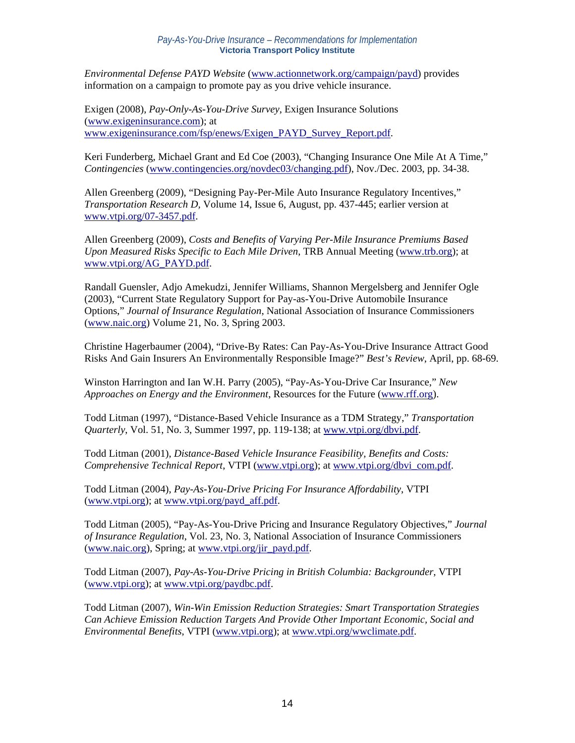*Environmental Defense PAYD Website* (www.actionnetwork.org/campaign/payd) provides information on a campaign to promote pay as you drive vehicle insurance.

Exigen (2008), *Pay-Only-As-You-Drive Survey*, Exigen Insurance Solutions (www.exigeninsurance.com); at www.exigeninsurance.com/fsp/enews/Exigen\_PAYD\_Survey\_Report.pdf.

Keri Funderberg, Michael Grant and Ed Coe (2003), "Changing Insurance One Mile At A Time," *Contingencies* (www.contingencies.org/novdec03/changing.pdf), Nov./Dec. 2003, pp. 34-38.

Allen Greenberg (2009), "Designing Pay-Per-Mile Auto Insurance Regulatory Incentives," *Transportation Research D,* Volume 14, Issue 6, August, pp. 437-445; earlier version at www.vtpi.org/07-3457.pdf.

Allen Greenberg (2009), *Costs and Benefits of Varying Per-Mile Insurance Premiums Based Upon Measured Risks Specific to Each Mile Driven*, TRB Annual Meeting (www.trb.org); at www.vtpi.org/AG\_PAYD.pdf.

Randall Guensler, Adjo Amekudzi, Jennifer Williams, Shannon Mergelsberg and Jennifer Ogle (2003), "Current State Regulatory Support for Pay-as-You-Drive Automobile Insurance Options," *Journal of Insurance Regulation*, National Association of Insurance Commissioners (www.naic.org) Volume 21, No. 3, Spring 2003.

Christine Hagerbaumer (2004), "Drive-By Rates: Can Pay-As-You-Drive Insurance Attract Good Risks And Gain Insurers An Environmentally Responsible Image?" *Best's Review*, April, pp. 68-69.

Winston Harrington and Ian W.H. Parry (2005), "Pay-As-You-Drive Car Insurance," *New Approaches on Energy and the Environment*, Resources for the Future (www.rff.org).

Todd Litman (1997), "Distance-Based Vehicle Insurance as a TDM Strategy," *Transportation Quarterly*, Vol. 51, No. 3, Summer 1997, pp. 119-138; at www.vtpi.org/dbvi.pdf.

Todd Litman (2001), *Distance-Based Vehicle Insurance Feasibility, Benefits and Costs: Comprehensive Technical Report*, VTPI (www.vtpi.org); at www.vtpi.org/dbvi\_com.pdf.

Todd Litman (2004), *Pay-As-You-Drive Pricing For Insurance Affordability*, VTPI (www.vtpi.org); at www.vtpi.org/payd\_aff.pdf.

Todd Litman (2005), "Pay-As-You-Drive Pricing and Insurance Regulatory Objectives," *Journal of Insurance Regulation*, Vol. 23, No. 3, National Association of Insurance Commissioners (www.naic.org), Spring; at www.vtpi.org/jir\_payd.pdf.

Todd Litman (2007), *Pay-As-You-Drive Pricing in British Columbia: Backgrounder*, VTPI (www.vtpi.org); at www.vtpi.org/paydbc.pdf.

Todd Litman (2007), *Win-Win Emission Reduction Strategies: Smart Transportation Strategies Can Achieve Emission Reduction Targets And Provide Other Important Economic, Social and Environmental Benefits*, VTPI (www.vtpi.org); at www.vtpi.org/wwclimate.pdf.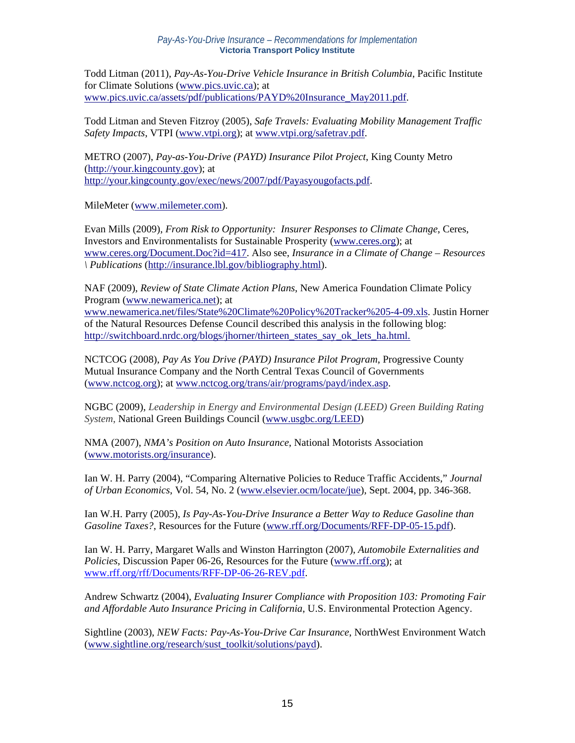Todd Litman (2011), *Pay-As-You-Drive Vehicle Insurance in British Columbia*, Pacific Institute for Climate Solutions (www.pics.uvic.ca); at www.pics.uvic.ca/assets/pdf/publications/PAYD%20Insurance\_May2011.pdf.

Todd Litman and Steven Fitzroy (2005), *Safe Travels: Evaluating Mobility Management Traffic Safety Impacts*, VTPI (www.vtpi.org); at www.vtpi.org/safetrav.pdf.

METRO (2007), *Pay-as-You-Drive (PAYD) Insurance Pilot Project*, King County Metro (http://your.kingcounty.gov); at http://your.kingcounty.gov/exec/news/2007/pdf/Payasyougofacts.pdf.

MileMeter (www.milemeter.com).

Evan Mills (2009), *From Risk to Opportunity: Insurer Responses to Climate Change*, Ceres, Investors and Environmentalists for Sustainable Prosperity (www.ceres.org); at www.ceres.org/Document.Doc?id=417. Also see, *Insurance in a Climate of Change – Resources \ Publications* (http://insurance.lbl.gov/bibliography.html).

NAF (2009), *Review of State Climate Action Plans*, New America Foundation Climate Policy Program (www.newamerica.net); at www.newamerica.net/files/State%20Climate%20Policy%20Tracker%205-4-09.xls. Justin Horner of the Natural Resources Defense Council described this analysis in the following blog: http://switchboard.nrdc.org/blogs/jhorner/thirteen\_states\_say\_ok\_lets\_ha.html.

NCTCOG (2008), *Pay As You Drive (PAYD) Insurance Pilot Program*, Progressive County Mutual Insurance Company and the North Central Texas Council of Governments (www.nctcog.org); at www.nctcog.org/trans/air/programs/payd/index.asp.

NGBC (2009), *Leadership in Energy and Environmental Design (LEED) Green Building Rating System*, National Green Buildings Council (www.usgbc.org/LEED)

NMA (2007), *NMA's Position on Auto Insurance*, National Motorists Association (www.motorists.org/insurance).

Ian W. H. Parry (2004), "Comparing Alternative Policies to Reduce Traffic Accidents," *Journal of Urban Economics*, Vol. 54, No. 2 (www.elsevier.ocm/locate/jue), Sept. 2004, pp. 346-368.

Ian W.H. Parry (2005), *Is Pay-As-You-Drive Insurance a Better Way to Reduce Gasoline than Gasoline Taxes?*, Resources for the Future (www.rff.org/Documents/RFF-DP-05-15.pdf).

Ian W. H. Parry, Margaret Walls and Winston Harrington (2007), *Automobile Externalities and Policies*, Discussion Paper 06-26, Resources for the Future (www.rff.org); at www.rff.org/rff/Documents/RFF-DP-06-26-REV.pdf.

Andrew Schwartz (2004), *Evaluating Insurer Compliance with Proposition 103: Promoting Fair and Affordable Auto Insurance Pricing in California*, U.S. Environmental Protection Agency.

Sightline (2003), *NEW Facts: Pay-As-You-Drive Car Insurance*, NorthWest Environment Watch (www.sightline.org/research/sust\_toolkit/solutions/payd).